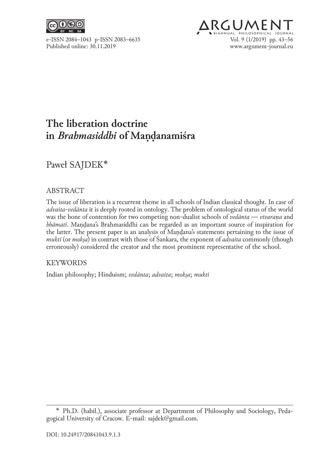

# **ARGUMEN** e-ISSN 2084-1043 p-ISSN 2083-6635<br>Published online: 30.11.2019 <br>Published online: 30.11.2019 www.argument-journal.eu

# **The liberation doctrine in** *Brahmasiddhi* **of Manḍanamiśra .**

Paweł SAJDEK∗

## ABSTRACT

The issue of liberation is a recurrent theme in all schools of Indian classical thought. In case of *advaita-vedānta* it is deeply rooted in ontology. The problem of ontological status of the world was the bone of contention for two competing non-dualist schools of *vedānta* — *vivaraṇa* and *bhāmatī*. Maṇḍana's Brahmasiddhi can be regarded as an important source of inspiration for the latter. The present paper is an analysis of Maṇḍana's statements pertaining to the issue of *mukti* (or *mokṣa*) in contrast with those of Śankara, the exponent of *advaita* commonly (though erroneously) considered the creator and the most prominent representative of the school.

#### KEYWORDS

Indian philosophy; Hinduism; *vedānta*; *advaita*; *mokṣa*; *mukti*

<sup>\*</sup>  Ph.D. (habil.), associate professor at Department of Philosophy and Sociology, Peda‑ gogical University of Cracow. E-mail: sajdek@gmail.com.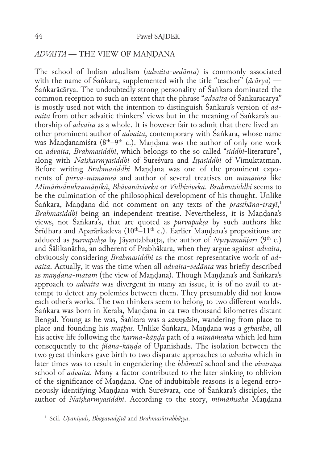#### *ADVAITA* — THE VIEW OF MAṆḌANA

The school of Indian adualism (*advaita-vedānta*) is commonly associated with the name of Śaṅkara, supplemented with the title "teacher" (*ācārya*) — Śaṅkarācārya. The undoubtedly strong personality of Śaṅkara dominated the common reception to such an extent that the phrase "*advaita* of Śaṅkarācārya" is mostly used not with the intention to distinguish Śaṅkara's version of *advaita* from other advaitic thinkers' views but in the meaning of Śaṅkara's au– thorship of *advaita* as a whole. It is however fair to admit that there lived an‑ other prominent author of *advaita*, contemporary with Śaṅkara, whose name was Mandanamiśra  $(8<sup>th</sup>-9<sup>th</sup> c.)$ . Mandana was the author of only one work on *advaita*, *Brahmasiddhi*, which belongs to the so called "*siddhi*-literature", along with *Naiṣkarmyasiddhi* of Sureśvara and *Iṣṭasiddhi* of Vimuktātman. Before writing *Brahmasiddhi* Mandana was one of the prominent exponents of *pūrva-mīmāṁsā* and author of several treatises on *mīmāṁsā* like *Mīmāṁsānukramāṇikā*, *Bhāvanāviveka* or *Vidhiviveka*. *Brahmasiddhi* seems to be the culmination of the philosophical development of his thought. Unlike Śaṅkara, Maṇḍana did not comment on any texts of the *prasthāna-trayī*, 1 *Brahmasiddhi* being an independent treatise. Nevertheless, it is Maṇḍana's views, not Śaṅkara's, that are quoted as *pūrvapakṣa* by such authors like  $\hat{\rm S}$ rīdhara and Aparārkadeva (10<sup>th</sup>–11<sup>th</sup> c.). Earlier Mandana's propositions are adduced as *pūrvapakṣa* by Jāyantabhaṭṭa, the author of *Nyāyamañjarī* (9th c.) and Śālikanātha, an adherent of Prabhākara, when they argue against *advaita*, obviuously considering *Brahmasiddhi* as the most representative work of *advaita*. Actually, it was the time when all *advaita-vedānta* was briefly described as *maṇḍana‑matam* (the view of Maṇḍana). Though Maṇḍana's and Śaṅkara's approach to *advaita* was divergent in many an issue, it is of no avail to attempt to detect any polemics between them. They presumably did not know each other's works. The two thinkers seem to belong to two different worlds. Śaṅkara was born in Kerala, Maṇḍana in ca two thousand kilometres distant Bengal. Young as he was, Śaṅkara was a *sannyāsin*, wandering from place to place and founding his *maṭḥas*. Unlike Śaṅkara, Maṇḍana was a *gṛhastha*, all his active life following the *karma-kāṇḍa* path of a *mīmāṁsaka* which led him consequently to the *jñāna‑kāṇḍa* of Upanishads. The isolation between the two great thinkers gave birth to two disparate approaches to *advaita* which in later times was to result in engendering the *bhāmatī* school and the *vivaraṇa* school of *advaita*. Many a factor contributed to the later sinking to oblivion of the significance of Maṇḍana. One of indubitable reasons is a legend erro‑ neously identifying Maṇḍana with Sureśvara, one of Śaṅkara's disciples, the author of *Naiṣkarmyasiddhi*. According to the story, *mīmāṁsaka* Maṇḍana

<sup>1</sup> Scil. *Upaniṣads*, *Bhagavadgītā* and *Brahmasūtrabhāṣya*.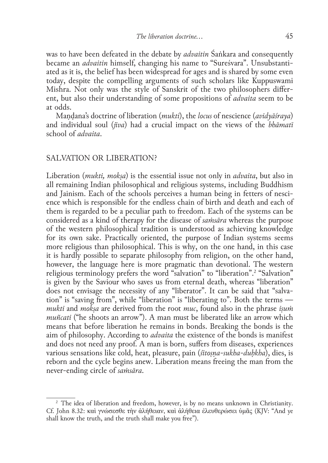was to have been defeated in the debate by *advaitin* Śaṅkara and consequently became an *advaitin* himself, changing his name to "Sureśvara". Unsubstantiated as it is, the belief has been widespread for ages and is shared by some even today, despite the compelling arguments of such scholars like Kuppuswami Mishra. Not only was the style of Sanskrit of the two philosophers different, but also their understanding of some propositions of *advaita* seem to be at odds.

Maṇḍana's doctrine of liberation (*mukti*), the *locus* of nescience (*avidyāśraya*) and individual soul (*jīva*) had a crucial impact on the views of the *bhāmatī* school of *advaita*.

#### SALVATION OR LIBERATION?

Liberation (*mukti, mokṣa*) is the essential issue not only in *advaita*, but also in all remaining Indian philosophical and religious systems, including Buddhism and Jainism. Each of the schools perceives a human being in fetters of nescience which is responsible for the endless chain of birth and death and each of them is regarded to be a peculiar path to freedom. Each of the systems can be considered as a kind of therapy for the disease of *saṁsāra* whereas the purpose of the western philosophical tradition is understood as achieving knowledge for its own sake. Practically oriented, the purpose of Indian systems seems more religious than philosophical. This is why, on the one hand, in this case it is hardly possible to separate philosophy from religion, on the other hand, however, the language here is more pragmatic than devotional. The western religious terminology prefers the word "salvation" to "liberation".<sup>2</sup> "Salvation" is given by the Saviour who saves us from eternal death, whereas "liberation" does not envisage the necessity of any "liberator". It can be said that "salvation" is "saving from", while "liberation" is "liberating to". Both the terms *mukti* and *mokṣa* are derived from the root *muc*, found also in the phrase *iṣuṁ muñcati* ("he shoots an arrow"). A man must be liberated like an arrow which means that before liberation he remains in bonds. Breaking the bonds is the aim of philosophy. According to *advaita* the existence of the bonds is manifest and does not need any proof. A man is born, suffers from diseases, experiences various sensations like cold, heat, pleasure, pain (*śītoṣṇa-sukha-duḥkha*), dies, is reborn and the cycle begins anew. Liberation means freeing the man from the never-ending circle of *saṁsāra*.

<sup>&</sup>lt;sup>2</sup> The idea of liberation and freedom, however, is by no means unknown in Christianity. Cf. John 8.32: καὶ γνώσεσθε τὴν ἀλήθειαν, καὶ ἀλήθεια ἐλευθερώσει ὑμᾶς (KJV: "And ye shall know the truth, and the truth shall make you free").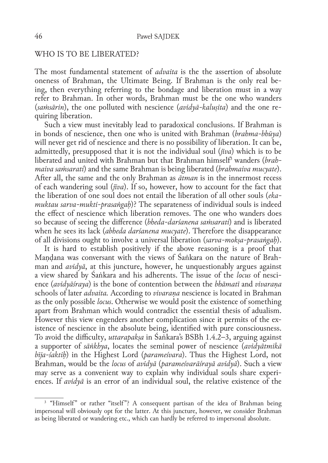#### WHO IS TO BE LIBERATED?

The most fundamental statement of *advaita* is the the assertion of absolute oneness of Brahman, the Ultimate Being. If Brahman is the only real be‑ ing, then everything referring to the bondage and liberation must in a way refer to Brahman. In other words, Brahman must be the one who wanders (*saṁsārin*), the one polluted with nescience (*avidyā-kaluṣita*) and the one re‑ quiring liberation.

Such a view must inevitably lead to paradoxical conclusions. If Brahman is in bonds of nescience, then one who is united with Brahman (*brahma-bhūya*) will never get rid of nescience and there is no possibility of liberation. It can be, admittedly, presupposed that it is not the individual soul (*jīva*) which is to be liberated and united with Brahman but that Brahman himself3 wanders (*brahmaiva saṁsarati*) and the same Brahman is being liberated (*brahmaiva mucyate*). After all, the same and the only Brahman as *ātman* is in the innermost recess of each wandering soul (*jīva*). If so, however, how to account for the fact that the liberation of one soul does not entail the liberation of all other souls (*ekamuktau sarva-mukti-prasaṅgaḥ*)? The separateness of individual souls is indeed the effect of nescience which liberation removes. The one who wanders does so because of seeing the difference (*bheda-darśanena saṁsarati*) and is liberated when he sees its lack (*abheda darśanena mucyate*). Therefore the disappearance of all divisions ought to involve a universal liberation (*sarva-mokṣa-prasaṅgaḥ*).

It is hard to establish positively if the above reasoning is a proof that Maṇḍana was conversant with the views of Śaṅkara on the nature of Brah‑ man and *avidyā*, at this juncture, however, he unquestionably argues against a view shared by Śaṅkara and his adherents. The issue of the *locus* of nesci‑ ence (*avidyāśraya*) is the bone of contention between the *bhāmatī* and *vivaraṇa* schools of later *advaita.* According to *vivaraṇa* nescience is located in Brahman as the only possible *locus*. Otherwise we would posit the existence of something apart from Brahman which would contradict the essential thesis of adualism. However this view engenders another complication since it permits of the existence of nescience in the absolute being, identified with pure consciousness. To avoid the difficulty, *uttarapakṣa* in Śaṅkara's BSBh 1.4.2–3, arguing against a supporter of *sāṅkhya*, locates the seminal power of nescience (*avidyātmikā bīja-śaktiḥ*) in the Highest Lord (*parameśvara*). Thus the Highest Lord, not Brahman, would be the *locus* of *avidyā* (*parameśvarāśrayā avidyā*). Such a view may serve as a convenient way to explain why individual souls share experiences. If *avidyā* is an error of an individual soul, the relative existence of the

<sup>&</sup>lt;sup>3</sup> "Himself" or rather "itself"? A consequent partisan of the idea of Brahman being impersonal will obviously opt for the latter. At this juncture, however, we consider Brahman as being liberated or wandering etc., which can hardly be referred to impersonal absolute.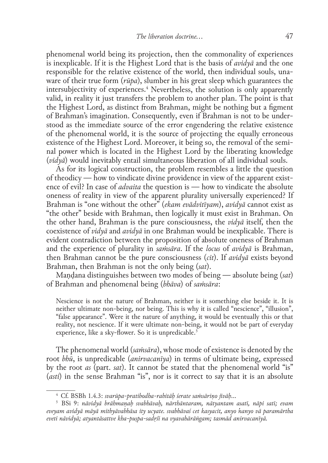phenomenal world being its projection, then the commonality of experiences is inexplicable. If it is the Highest Lord that is the basis of *avidyā* and the one responsible for the relative existence of the world, then individual souls, unaware of their true form (*rūpa*), slumber in his great sleep which guarantees the intersubjectivity of experiences.4 Nevertheless, the solution is only apparently valid, in reality it just transfers the problem to another plan. The point is that the Highest Lord, as distinct from Brahman, might be nothing but a figment of Brahman's imagination. Consequently, even if Brahman is not to be understood as the immediate source of the error engendering the relative existence of the phenomenal world, it is the source of projecting the equally erroneous existence of the Highest Lord. Moreover, it being so, the removal of the seminal power which is located in the Highest Lord by the liberating knowledge (*vidyā*) would inevitably entail simultaneous liberation of all individual souls.

As for its logical construction, the problem resembles a little the question of theodicy — how to vindicate divine providence in view of the apparent existence of evil? In case of *advaita* the question is — how to vindicate the absolute oneness of reality in view of the apparent plurality universally experienced? If Brahman is "one without the other" (*ekam evādvitīyam*), *avidyā* cannot exist as "the other" beside with Brahman, then logically it must exist in Brahman. On the other hand, Brahman is the pure consciousness, the *vidyā* itself, then the coexistence of *vidyā* and *avidyā* in one Brahman would be inexplicable. There is evident contradiction between the proposition of absolute oneness of Brahman and the experience of plurality in *saṁsāra*. If the *locus* of *avidyā* is Brahman, then Brahman cannot be the pure consciousness (*cit*). If *avidyā* exists beyond Brahman, then Brahman is not the only being (*sat*).

Maṇḍana distinguishes between two modes of being — absolute being (*sat*) of Brahman and phenomenal being (*bhāva*) of *saṁsāra*:

Nescience is not the nature of Brahman, neither is it something else beside it. It is neither ultimate non-being, nor being. This is why it is called "nescience", "illusion", "false appearance". Were it the nature of anything, it would be eventually this or that reality, not nescience. If it were ultimate non-being, it would not be part of everyday experience, like a sky-flower. So it is unpredicable.<sup>5</sup>

The phenomenal world (*saṁsāra*), whose mode of existence is denoted by the root *bhū*, is unpredicable (*anirvacanīya*) in terms of ultimate being, expressed by the root *as* (part. *sat*). It cannot be stated that the phenomenal world "is" (*asti*) in the sense Brahman "is", nor is it correct to say that it is an absolute

<sup>4</sup> Cf. BSBh 1.4.3: *svarūpa-pratibodha-rahitāḥ śerate saṁsāriṇo jīvāḥ*…

<sup>5</sup> BSi 9: *nāvidyā brāhmaṇaḥ svabhāvaḥ, nārthāntaram, nātyantam asatī, nāpi satī; evam eveyam avidyā māyā mithyāvabhāsa ity ucyate. svabhāvaś cet kasyacit, anyo 'nanyo vā paramārtha eveti nāvidyā; atyantāsattve kha‑puṣpa-sadṛśī na vyavahārāṅgam; tasmād anirvacanīyā.*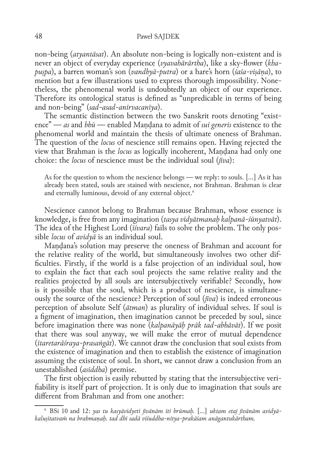non-being (*atyantāsat*). An absolute non-being is logically non‑existent and is never an object of everyday experience (*vyavahārārtha*), like a sky-flower (*khapuṣpa*), a barren woman's son (*vandhyā-putra*) or a hare's horn (*śaśa‑viṣāṇa*), to mention but a few illustrations used to express thorough impossibility. Nonetheless, the phenomenal world is undoubtedly an object of our experience. Therefore its ontological status is defined as "unpredicable in terms of being and non-being" (*sad-asad-anirvacanīya*).

The semantic distinction between the two Sanskrit roots denoting "existence" — *as* and *bhū* — enabled Maṇḍana to admit of *sui generis* existence to the phenomenal world and maintain the thesis of ultimate oneness of Brahman. The question of the *locus* of nescience still remains open. Having rejected the view that Brahman is the *locus* as logically incoherent, Maṇḍana had only one choice: the *locus* of nescience must be the individual soul (*jīva*):

As for the question to whom the nescience belongs — we reply: to souls. […] As it has already been stated, souls are stained with nescience, not Brahman. Brahman is clear and eternally luminous, devoid of any external object.<sup>6</sup>

Nescience cannot belong to Brahman because Brahman, whose essence is knowledge, is free from any imagination (*tasya vidyātmanaḥ kalpanā-śūnyatvāt*). The idea of the Highest Lord (*īśvara*) fails to solve the problem. The only possible *locus* of *avidyā* is an individual soul.

Maṇḍana's solution may preserve the oneness of Brahman and account for the relative reality of the world, but simultaneously involves two other dif‑ ficulties. Firstly, if the world is a false projection of an individual soul, how to explain the fact that each soul projects the same relative reality and the realities projected by all souls are intersubjectively verifiable? Secondly, how is it possible that the soul, which is a product of nescience, is simultane– ously the source of the nescience? Perception of soul (*jīva*) is indeed erroneous perception of absolute Self (*ātman*) as plurality of individual selves. If soul is a figment of imagination, then imagination cannot be preceded by soul, since before imagination there was none (*kalpanāyāḥ prāk tad-abhāvāt*). If we posit that there was soul anyway, we will make the error of mutual dependence (*itaretarāśraya‑prasaṅgāt*). We cannot draw the conclusion that soul exists from the existence of imagination and then to establish the existence of imagination assuming the existence of soul. In short, we cannot draw a conclusion from an unestablished (*asiddha*) premise.

The first objection is easily rebutted by stating that the intersubjective verifiability is itself part of projection. It is only due to imagination that souls are different from Brahman and from one another:

<sup>6</sup> BSi 10 and 12: *yas tu kasyāvidyeti jīvānām iti brūmaḥ.* […] *uktam etaj jīvānām avidyākaluṣitatvaṁ na brahmaṇaḥ. tad dhi sadā viśuddha-nitya-prakāśam anāgantukārtham.*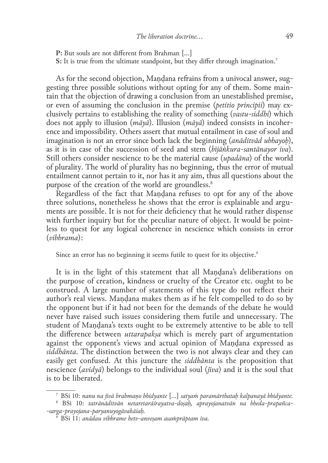**P:** But souls are not different from Brahman […] **S:** It is true from the ultimate standpoint, but they differ through imagination.7

As for the second objection, Mandana refrains from a univocal answer, suggesting three possible solutions without opting for any of them. Some main– tain that the objection of drawing a conclusion from an unestablished premise, or even of assuming the conclusion in the premise (*petitio principii*) may exclusively pertains to establishing the reality of something (*vastu‑siddhi*) which does not apply to illusion (*māyā*). Illusion (*māyā*) indeed consists in incoher‑ ence and impossibility. Others assert that mutual entailment in case of soul and imagination is not an error since both lack the beginning (*anāditvād ubhayoḥ*), as it is in case of the succession of seed and stem (*bījāṅkura-santānayor iva*). Still others consider nescience to be the material cause (*upadāna*) of the world of plurality. The world of plurality has no beginning, thus the error of mutual entailment cannot pertain to it, nor has it any aim, thus all questions about the purpose of the creation of the world are groundless.<sup>8</sup>

Regardless of the fact that Mandana refuses to opt for any of the above three solutions, nonetheless he shows that the error is explainable and arguments are possible. It is not for their deficiency that he would rather dispense with further inquiry but for the peculiar nature of object. It would be pointless to quest for any logical coherence in nescience which consists in error (*vibhrama*):

Since an error has no beginning it seems futile to quest for its objective.<sup>9</sup>

It is in the light of this statement that all Maṇḍana's deliberations on the purpose of creation, kindness or cruelty of the Creator etc. ought to be construed. A large number of statements of this type do not reflect their author's real views. Maṇḍana makes them as if he felt compelled to do so by the opponent but if it had not been for the demands of the debate he would never have raised such issues considering them futile and unnecessary. The student of Maṇḍana's texts ought to be extremely attentive to be able to tell the difference between *uttarapakṣa* which is merely part of argumentation against the opponent's views and actual opinion of Maṇḍana expressed as *siddhānta*. The distinction between the two is not always clear and they can easily get confused. At this juncture the *siddhānta* is the proposition that nescience (*avidyā*) belongs to the individual soul (*jīva*) and it is the soul that is to be liberated.

<sup>7</sup> BSi 10: *nanu na jīvā brahmaṇo bhidyante* […] *satyaṁ paramārthataḥ kalpanayā bhidyante.*

<sup>8</sup> BSi 10: *tatrānāditvān netaretarāśrayatva-doṣaḥ, aprayojanatvān na bheda-prapañca- -sarga-prayojana-paryanuyogāvakāśaḥ.*

<sup>9</sup> BSi 11: *anādau vibhrame hetv-anveṣam asaṁprāptam iva.*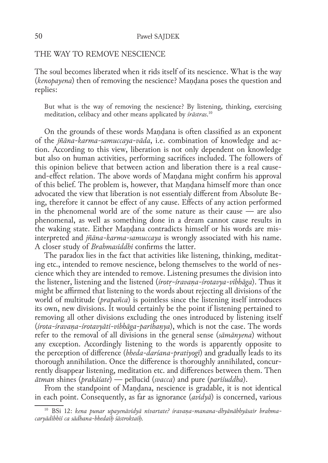THE WAY TO REMOVE NESCIENCE

The soul becomes liberated when it rids itself of its nescience. What is the way (*kenopayena*) then of removing the nescience? Maṇḍana poses the question and replies:

But what is the way of removing the nescience? By listening, thinking, exercising meditation, celibacy and other means applicated by *śrāstras*. 10

On the grounds of these words Maṇḍana is often classified as an exponent of the *jñāna-karma-samuccaya-vāda*, i.e. combination of knowledge and ac‑ tion. According to this view, liberation is not only dependent on knowledge but also on human activities, performing sacrifices included. The followers of this opinion believe that between action and liberation there is a real causeand-effect relation. The above words of Maṇḍana might confirm his approval of this belief. The problem is, however, that Maṇḍana himself more than once advocated the view that liberation is not essentialy different from Absolute Be‑ ing, therefore it cannot be effect of any cause. Effects of any action performed in the phenomenal world are of the some nature as their cause — are also phenomenal, as well as something done in a dream cannot cause results in the waking state. Either Maṇḍana contradicts himself or his words are mis‑ interpreted and *jñāna-karma-samuccaya* is wrongly associated with his name. A closer study of *Brahmasiddhi* confirms the latter.

The paradox lies in the fact that activities like listening, thinking, meditating etc., intended to remove nescience, belong themselves to the world of nes– cience which they are intended to remove. Listening presumes the division into the listener, listening and the listened (*śrotṛ-śravaṇa-śrotavya-vibhāga*). Thus it might be affirmed that listening to the words about rejecting all divisions of the world of multitude (*prapañca*) is pointless since the listening itself introduces its own, new divisions. It would certainly be the point if listening pertained to removing all other divisions excluding the ones introduced by listening itself (*śrota-śravaṇa-śrotavyāti-vibhāga-parihaṇya*), which is not the case. The words refer to the removal of all divisions in the general sense (*sāmānyena*) without any exception. Accordingly listening to the words is apparently opposite to the perception of difference (*bheda-darśana-pratiyogī*) and gradually leads to its thorough annihilation. Once the difference is thoroughly annihilated, concurrently disappear listening, meditation etc. and differences between them. Then *ātman* shines (*prakāśate*) — pellucid (*svacca*) and pure (*pariśuddha*).

From the standpoint of Mandana, nescience is gradable, it is not identical in each point. Consequently, as far as ignorance (*avidyā*) is concerned, various

<sup>10</sup> BSi 12: *kena punar upayenāvidyā nivartate? śravaṇa-manana-dhyānābhyāsair brahmacaryādibhiś ca sādhana-bhedaiḥ śāstroktaiḥ.*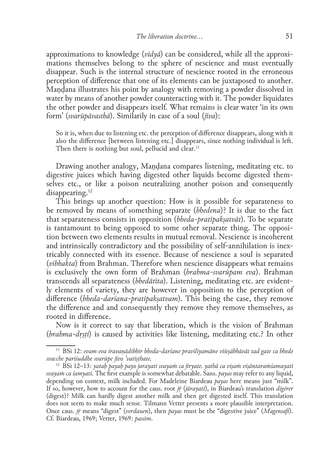approximations to knowledge  $(\nu \dot{d} \gamma \dot{a})$  can be considered, while all the approximations themselves belong to the sphere of nescience and must eventually disappear. Such is the internal structure of nescience rooted in the erroneous perception of difference that one of its elements can be juxtaposed to another. Maṇḍana illustrates his point by analogy with removing a powder dissolved in water by means of another powder counteracting with it. The powder liquidates the other powder and disappears itself. What remains is clear water 'in its own form' (*svarūpāvasthā*). Similarily in case of a soul (*jīva*):

So it is, when due to listening etc. the perception of difference disappears, along with it also the difference [between listening etc.] disappears, since nothing individual is left. Then there is nothing but soul, pellucid and clear.<sup>11</sup>

Drawing another analogy, Maṇḍana compares listening, meditating etc. to digestive juices which having digested other liquids become digested themselves etc., or like a poison neutralizing another poison and consequently disappearing.<sup>12</sup>

This brings up another question: How is it possible for separateness to be removed by means of something separate (*bhedena*)? It is due to the fact that separateness consists in opposition (*bheda-pratipakṣatvāt*). To be separate is tantamount to being opposed to some other separate thing. The opposition between two elements results in mutual removal. Nescience is incoherent and intrinsically contradictory and the possibility of self-annihilation is inextricably connected with its essence. Because of nescience a soul is separated (*vibhakta*) from Brahman. Therefore when nescience disappears what remains is exclusively the own form of Brahman (*brahma-svarūpam eva*). Brahman transcends all separateness (*bhedātīta*). Listening, meditating etc. are evidently elements of variety, they are however in opposition to the perception of difference (*bheda-darśana-pratipakṣatvam*). This being the case, they remove the difference and and consequently they remove they remove themselves, as rooted in difference.

Now is it correct to say that liberation, which is the vision of Brahman (*brahma-dṛṣṭi*) is caused by activities like listening, meditating etc.? In other

<sup>11</sup> BSi 12: *evam eva śravaṇādibhir bheda-darśane pravilīyamāne viśeṣābhāvāt tad gate ca bhede svacche pariśuddhe svarūpe jīvo 'vatiṣṭhate.*

<sup>12</sup> BSi 12–13: *yataḥ payaḥ payo jarayati svayaṁ ca jīryate. yathā ca viṣaṁ viṣāntaraṁśamayati svayaṁ ca śamyati.* The first example is somewhat debatable. Sans. *payas* may refer to any liquid, depending on context, milk included. For Madeleine Biardeau *payas* here means just "milk". If so, however, how to account for the caus. root *jr* (*jārayati*), in Biardeau's translation *digérer* (digest)? Milk can hardly digest another milk and then get digested itself. This translation does not seem to make much sense. Tilmann Vetter presents a more plausible interpretation. Once caus. *jṝ* means "digest" (*verdauen*), then *payas* must be the "digestive juice" (*Magensaft*). Cf. Biardeau, 1969; Vetter, 1969: *passim*.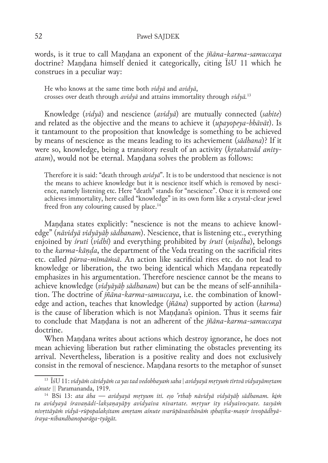words, is it true to call Maṇḍana an exponent of the *jñāna-karma-samuccaya* doctrine? Mandana himself denied it categorically, citing  $\overline{I}$  sU 11 which he construes in a peculiar way:

He who knows at the same time both *vidyā* and *avidyā*, crosses over death through *avidyā* and attains immortality through *vidyā.*<sup>13</sup>

Knowledge (*vidyā*) and nescience (*avidyā*) are mutually connected (*sahite*) and related as the objective and the means to achieve it (*upayopeya-bhāvāt*). Is it tantamount to the proposition that knowledge is something to be achieved by means of nescience as the means leading to its acheviement (*sādhana*)? If it were so, knowledge, being a transitory result of an activity (*kṛtakatvād anityatam*), would not be eternal. Maṇḍana solves the problem as follows:

Therefore it is said: "death through *avidyā*". It is to be understood that nescience is not the means to achieve knowledge but it is nescience itself which is removed by nescience, namely listening etc. Here "death" stands for "nescience". Once it is removed one achieves immortality, here called "knowledge" in its own form like a crystal-clear jewel freed fron any colouring caused by place.<sup>14</sup>

Mandana states explicitly: "nescience is not the means to achieve knowledge" (*nāvidyā vidyāyāḥ sādhanam*). Nescience, that is listening etc., everything enjoined by *śruti* (*vidhi*) and everything prohibited by *śruti* (*niṣedha*), belongs to the *karma-kāṇḍa*, the department of the Veda treating on the sacrificial rites etc. called *pūrva-mīmāṁsā*. An action like sacrificial rites etc. do not lead to knowledge or liberation, the two being identical which Maṇḍana repeatedly emphasizes in his argumentation. Therefore nescience cannot be the means to achieve knowledge (*vidyāyāh sādhanam*) but can be the means of self-annihilation. The doctrine of *jñāna-karma-samuccaya*, i.e. the combination of knowledge and action, teaches that knowledge (*jñāna*) supported by action (*karma*) is the cause of liberation which is not Maṇḍana's opinion. Thus it seems fair to conclude that Maṇḍana is not an adherent of the *jñāna-karma-samuccaya* doctrine.

When Maṇḍana writes about actions which destroy ignorance, he does not mean achieving liberation but rather eliminating the obstacles preventing its arrival. Nevertheless, liberation is a positive reality and does not exclusively consist in the removal of nescience. Maṇḍana resorts to the metaphor of sunset

<sup>13</sup> ĪśU 11: *vidyāṁ cāvidyāṁ ca yas tad vedobhayaṁ saha | avidyayā mṛtyuṁ tīrtvā vidyayāmṛtam aśnute ||* Paramananda, 1919.

<sup>14</sup> BSi 13: *ata āha — avidyayā mṛtyum iti. eṣo 'rthaḥ nāvidyā vidyāyāḥ sādhanam. kiṁ tu avidyayā śravaṇādi-lakṣaṇayāpy avidyaiva nivartate. mṛtyur ity vidyaivocyate. tasyāṁ nivṛttāyāṁ vidyā-rūpopalakṣitam amṛtam aśnute svarūpāvasthānāṁ sphaṭika-maṇir ivvopādhyāśraya-nibandhanoparāga-tyāgāt.*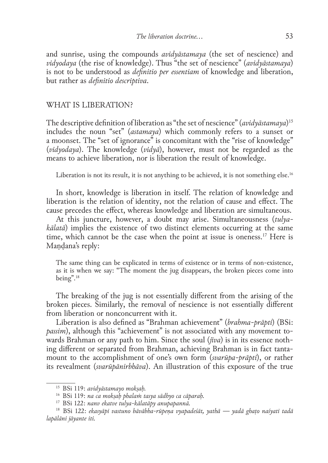and sunrise, using the compounds *avidyāstamaya* (the set of nescience) and *vidyodaya* (the rise of knowledge). Thus "the set of nescience" (*avidyāstamaya*) is not to be understood as *definitio per essentiam* of knowledge and liberation, but rather as *definitio descriptiva*.

#### WHAT IS LIBERATION?

The descriptive definition of liberation as "the set of nescience" (*avidyāstamaya*) 15 includes the noun "set" (*astamaya*) which commonly refers to a sunset or a moonset. The "set of ignorance" is concomitant with the "rise of knowledge" (*vidyodaya*). The knowledge (*vidyā*), however, must not be regarded as the means to achieve liberation, nor is liberation the result of knowledge.

Liberation is not its result, it is not anything to be achieved, it is not something else.<sup>16</sup>

In short, knowledge is liberation in itself. The relation of knowledge and liberation is the relation of identity, not the relation of cause and effect. The cause precedes the effect, whereas knowledge and liberation are simultaneous.

At this juncture, however, a doubt may arise. Simultaneousness (*tulyakālatā*) implies the existence of two distinct elements occurring at the same time, which cannot be the case when the point at issue is oneness.17 Here is Mandana's reply:

The same thing can be explicated in terms of existence or in terms of non-existence, as it is when we say: "The moment the jug disappears, the broken pieces come into being".18

The breaking of the jug is not essentially different from the arising of the broken pieces. Similarly, the removal of nescience is not essentially different from liberation or nonconcurrent with it.

Liberation is also defined as "Brahman achievement" (*brahma-prāpti*) (BSi: *passim*), although this "achievement" is not associated with any movement towards Brahman or any path to him. Since the soul (*jīva*) is in its essence noth– ing different or separated from Brahman, achieving Brahman is in fact tantamount to the accomplishment of one's own form (*svarūpa-prāpti*), or rather its revealment (*svarūpānirbhāva*). An illustration of this exposure of the true

<sup>15</sup> BSi 119: *avidyāstamayo mokṣaḥ.*

<sup>16</sup> BSi 119: *na ca mokṣaḥ phalaṁ tasya sādhyo ca cāparaḥ.*

<sup>17</sup> BSi 122: *nanv ekatve tulya-kālatāpy anupapannā.*

<sup>18</sup> BSi 122: *ekasyāpi vastuno bāvābha-rūpeṇa vyapadeśāt, yathā — yadā ghaṭo naśyati tadā lapālāni jāyante iti.*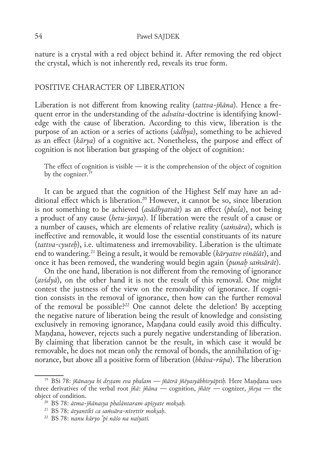nature is a crystal with a red object behind it. After removing the red object the crystal, which is not inherently red, reveals its true form.

### POSITIVE CHARACTER OF LIBERATION

Liberation is not different from knowing reality (tattva-jñāna). Hence a frequent error in the understanding of the *advaita*-doctrine is identifying knowledge with the cause of liberation. According to this view, liberation is the purpose of an action or a series of actions (*sādhya*), something to be achieved as an effect (*kārya*) of a cognitive act. Nonetheless, the purpose and effect of cognition is not liberation but grasping of the object of cognition:

The effect of cognition is visible — it is the comprehension of the object of cognition by the cognizer.<sup>19</sup>

It can be argued that the cognition of the Highest Self may have an additional effect which is liberation.<sup>20</sup> However, it cannot be so, since liberation is not something to be achieved (*asādhyatvāt*) as an effect (*phala*), not being a product of any cause (*hetu-janya*). If liberation were the result of a cause or a number of causes, which are elements of relative reality (*saṁsāra*), which is ineffective and removable, it would lose the essential constituants of its nature (*tattva-cyuteḥ*), i.e. ultimateness and irremovability. Liberation is the ultimate end to wandering.21 Being a result, it would be removable (*kāryatve vināśāt*), and once it has been removed, the wandering would begin again (*punaḥ saṁsārāt*).

On the one hand, liberation is not different from the removing of ignorance (*avidyā*), on the other hand it is not the result of this removal. One might contest the justness of the view on the removability of ignorance. If cognition consists in the removal of ignorance, then how can the further removal of the removal be possible?<sup>22</sup> One cannot delete the deletion! By accepting the negative nature of liberation being the result of knowledge and consisting exclusively in removing ignorance, Maṇḍana could easily avoid this difficulty. Maṇḍana, however, rejects such a purely negative understanding of liberation. By claiming that liberation cannot be the result, in which case it would be removable, he does not mean only the removal of bonds, the annihilation of ig‑ norance, but above all a positive form of liberation (*bhāva-rūpa*). The liberation

<sup>19</sup> BSi 78: *jñānasya hi dṛṣṭam eva phalam — jñātrā jñēyasyābhivyāptiḥ.* Here Maṇḍana uses three derivatives of the verbal root *jñā*: *jñāna —* cognition, *jñātṛ —* cognizer, *jñeya* — the object of condition.

<sup>20</sup> BS 78: *ātma-jñānasya phalāntaram apīṣyate mokṣaḥ.*

<sup>21</sup> BS 78: *ātyantikī ca saṁsāra-nivṛttir mokṣaḥ*.

<sup>22</sup> BS 78: *nanu kāryo 'pi nāśo na naśyati.*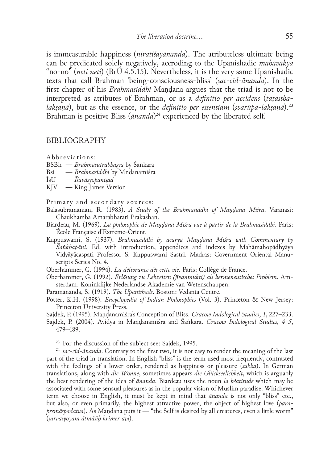is immeasurable happiness (*niratiśayānanda*). The atributeless ultimate being can be predicated solely negatively, accroding to the Upanishadic *mahāvākya* "no-no" (*neti neti*) (BrU 4.5.15). Nevertheless, it is the very same Upanishadic texts that call Brahman 'being-consciousness-bliss' (*sac‑cid-ānanda*). In the first chapter of his *Brahmasiddhi* Mandana argues that the triad is not to be interpreted as atributes of Brahman, or as a *definitio per accidens* (*taṭasthalaksanā*), but as the essence, or the *definitio per essentiam (svarūpa-laksanā*).<sup>23</sup> Brahman is positive Bliss (*ānanda*) 24 experienced by the liberated self.

#### BIBLIOGRAPHY

Abbreviations:

- BSBh *Brahmasūtrabhāṣya* by Śankara
- Bsi *Brahmasiddhi* by Mṇḍanamiśra
- ĪśU *Īśavāsyopaniṣad*
- King James Version

Primary and secondary sources:

- Balasubramanian, R. (1983). *A Study of the Brahmasiddhi of Maṇḍana Miśra*. Varanasi: Chaukhamba Amarabharati Prakashan.
- Biardeau, M. (1969). *La philosophie de Maṇḍana Miśra vue à partir de la Brahmasiddhi*. Paris: École Française d'Extreme-Orient.
- Kuppuswami, S. (1937). *Brahmasiddhi by ācārya Maṇḍana Miśra with Commentary by Śaṅkhapāṇi*. Ed. with introduction, appendices and indexes by Mahāmahopādhyāya Vidyāyācaspati Professor S. Kuppuswami Sastri. Madras: Government Oriental Manu‑ scripts Series No. 4.

Oberhammer, G. (1994). *La délivrance dès cette vie*. Paris: Collège de France.

- Oberhammer, G. (1992). *Erlösung zu Lebzeiten (jīvanmukti) als hermeneutisches Problem*. Am‑ sterdam: Koninklijke Nederlandse Akademie van Wetenschappen.
- Paramananda, S. (1919). *The Upanishads*. Boston: Vedanta Centre.
- Potter, K.H. (1998). *Encyclopedia of Indian Philosophies* (Vol. 3). Princeton & New Jersey: Princeton University Press.
- Sajdek, P. (1995). Maṇḍanamiśra's Conception of Bliss. *Cracow Indological Studies*, *1*, 227–233. Sajdek, P. (2004). Avidyā in Maṇḍanamiśra and Śaṅkara. *Cracow Indological Studies*, *4–5*, 479–489.

<sup>&</sup>lt;sup>23</sup> For the discussion of the subject see: Sajdek, 1995.

<sup>&</sup>lt;sup>24</sup> sac-cid-ānanda. Contrary to the first two, it is not easy to render the meaning of the last part of the triad in translation. In English "bliss" is the term used most frequently, contrasted with the feelings of a lower order, rendered as happiness or pleasure (*sukha*). In German translations, along with *die Wonne*, sometimes appears *die Glückseelichkeit*, which is arguably the best rendering of the idea of *ānanda*. Biardeau uses the noun *la béatitude* which may be associated with some sensual pleasures as in the popular vision of Muslim paradise. Whichever term we choose in English, it must be kept in mind that *ānanda* is not only "bliss" etc., but also, or even primarily, the highest attractive power, the object of highest love (*parapremāspadatva*). As Maṇḍana puts it — "the Self is desired by all creatures, even a little worm" (*sarvasyoyam ātmāśīḥ krimer api*).